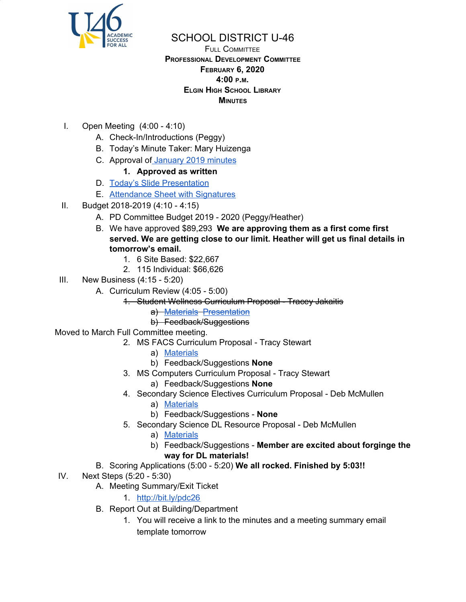

## SCHOOL DISTRICT U-46

## FULL COMMITTEE **PROFESSIONAL DEVELOPMENT COMMITTEE FEBRUARY 6, 2020 4:00 <sup>P</sup>.M. ELGIN HIGH SCHOOL LIBRARY MINUTES**

- I. Open Meeting (4:00 4:10)
	- A. Check-In/Introductions (Peggy)
	- B. Today's Minute Taker: Mary Huizenga
	- C. Approval of [January](https://www.u-46.org/site/handlers/filedownload.ashx?moduleinstanceid=23441&dataid=46290&FileName=1-9-20%20Minutes%20FC%20.pdf) 2019 minutes
		- **1. Approved as written**
	- D. Today's Slide [Presentation](https://docs.google.com/presentation/d/1YN4juFvJKP6iQ25rW2TL9jWOd-C8UDMs8b3QWdyUvFw/edit?usp=sharing)
	- E. [Attendance](https://drive.google.com/open?id=1-QXe33RiQ-Irz0JgZrIFt1kbRtCIQpTH) Sheet with Signatures
- II. Budget 2018-2019 (4:10 4:15)
	- A. PD Committee Budget 2019 2020 (Peggy/Heather)
	- B. We have approved \$89,293 **We are approving them as a first come first served. We are getting close to our limit. Heather will get us final details in tomorrow's email.**
		- 1. 6 Site Based: \$22,667
		- 2. 115 Individual: \$66,626
- III. New Business (4:15 5:20)
	- A. Curriculum Review (4:05 5:00)
		- 1. Student Wellness Curriculum Proposal Tracey Jakaitis
			- a) [Materials](https://drive.google.com/file/d/1MzMXPIxQU1H-kXXL_BBIcReI1as5PO7t/view?usp=sharing) [Presentation](https://drive.google.com/file/d/1G7_w9er78spfeKSVcyuyBHzPnrl1TN7g/view?usp=sharing)
			- b) Feedback/Suggestions
- Moved to March Full Committee meeting.
	- 2. MS FACS Curriculum Proposal Tracy Stewart
		- a) [Materials](https://docs.google.com/presentation/d/1NbE6-8AVCGQ96RUh-TseHzMkXytvTFgC621klfexYl0/edit?usp=sharing)
		- b) Feedback/Suggestions **None**
	- 3. MS Computers Curriculum Proposal Tracy Stewart
		- a) Feedback/Suggestions **None**
	- 4. Secondary Science Electives Curriculum Proposal Deb McMullen
		- a) [Materials](https://docs.google.com/document/d/1a4zEnnnLg8oKn_FyZkbA-3SJAFFJT6iPSZLLuZASPDQ/edit?usp=sharing)
		- b) Feedback/Suggestions **None**
	- 5. Secondary Science DL Resource Proposal Deb McMullen
		- a) [Materials](https://docs.google.com/document/d/1yHyGC5PVlT8zsnMhKN8kfFNtLVP_SQX8fmFfjR1euo8/edit?usp=sharing)
		- b) Feedback/Suggestions **Member are excited about forginge the way for DL materials!**
	- B. Scoring Applications (5:00 5:20) **We all rocked. Finished by 5:03!!**
- IV. Next Steps (5:20 5:30)
	- A. Meeting Summary/Exit Ticket
		- 1. <http://bit.ly/pdc26>
	- B. Report Out at Building/Department
		- 1. You will receive a link to the minutes and a meeting summary email template tomorrow